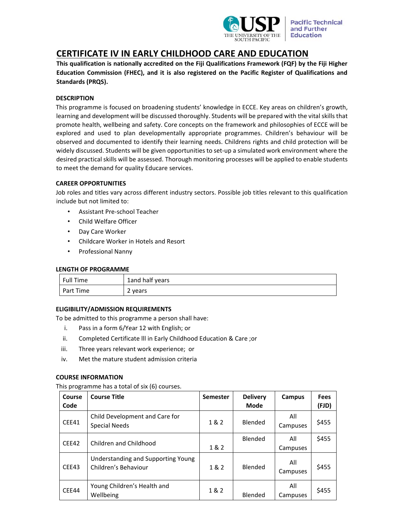

# **CERTIFICATE IV IN EARLY CHILDHOOD CARE AND EDUCATION**

**This qualification is nationally accredited on the Fiji Qualifications Framework (FQF) by the Fiji Higher Education Commission (FHEC), and it is also registered on the Pacific Register of Qualifications and Standards (PRQS).**

## **DESCRIPTION**

This programme is focused on broadening students' knowledge in ECCE. Key areas on children's growth, learning and development will be discussed thoroughly. Students will be prepared with the vital skills that promote health, wellbeing and safety. Core concepts on the framework and philosophies of ECCE will be explored and used to plan developmentally appropriate programmes. Children's behaviour will be observed and documented to identify their learning needs. Childrens rights and child protection will be widely discussed. Students will be given opportunities to set‐up a simulated work environment where the desired practical skills will be assessed. Thorough monitoring processes will be applied to enable students to meet the demand for quality Educare services.

## **CAREER OPPORTUNITIES**

Job roles and titles vary across different industry sectors. Possible job titles relevant to this qualification include but not limited to:

- Assistant Pre‐school Teacher
- Child Welfare Officer
- Day Care Worker
- Childcare Worker in Hotels and Resort
- Professional Nanny

## **LENGTH OF PROGRAMME**

| Full Time | 1and half years |
|-----------|-----------------|
| Part Time | 2 years         |

## **ELIGIBILITY/ADMISSION REQUIREMENTS**

To be admitted to this programme a person shall have:

- i. Pass in a form 6/Year 12 with English; or
- ii. Completed Certificate lll in Early Childhood Education & Care ;or
- iii. Three years relevant work experience; or
- iv. Met the mature student admission criteria

## **COURSE INFORMATION**

This programme has a total of six (6) courses.

| Course<br>Code | <b>Course Title</b>                                        | <b>Semester</b> | <b>Delivery</b><br><b>Mode</b> | Campus          | <b>Fees</b><br>(FJD) |
|----------------|------------------------------------------------------------|-----------------|--------------------------------|-----------------|----------------------|
| CEE41          | Child Development and Care for<br><b>Special Needs</b>     | 1&2             | Blended                        | All<br>Campuses | \$455                |
| CEE42          | Children and Childhood                                     | 1 & 2           | Blended                        | All<br>Campuses | \$455                |
| CEE43          | Understanding and Supporting Young<br>Children's Behaviour | 1&2             | Blended                        | All<br>Campuses | \$455                |
| CEE44          | Young Children's Health and<br>Wellbeing                   | 1&2             | Blended                        | All<br>Campuses | \$455                |